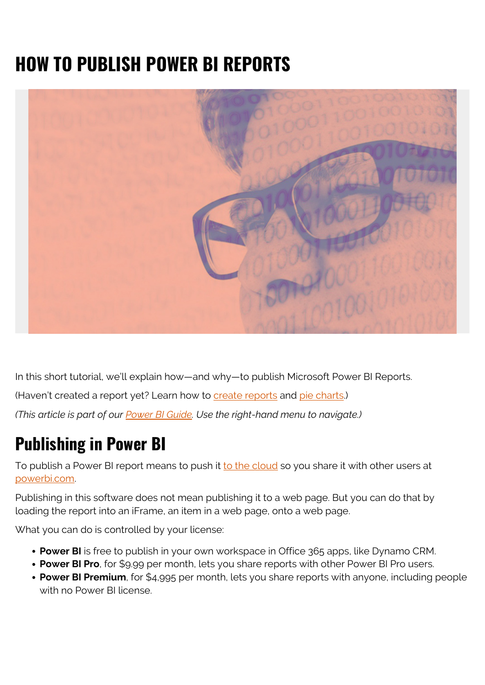# **HOW TO PUBLISH POWER BI REPORTS**



In this short tutorial, we'll explain how—and why—to publish Microsoft Power BI Reports. (Haven't created a report yet? Learn how to [create reports](https://blogs.bmc.com/blogs/power-bi-create-reports/) and [pie charts](https://blogs.bmc.com/blogs/power-bi-pie-charts/).) *(This article is part of our [Power BI Guide.](https://blogs.bmc.com/blogs/power-bi-pie-charts/) Use the right-hand menu to navigate.)*

#### **Publishing in Power BI**

To publish a Power BI report means to push it [to the cloud](https://blogs.bmc.com/blogs/public-private-hybrid-cloud/) so you share it with other users at [powerbi.com](https://powerbi.microsoft.com/en-us/).

Publishing in this software does not mean publishing it to a web page. But you can do that by loading the report into an iFrame, an item in a web page, onto a web page.

What you can do is controlled by your license:

- **Power BI** is free to publish in your own workspace in Office 365 apps, like Dynamo CRM.
- **Power BI Pro**, for \$9.99 per month, lets you share reports with other Power BI Pro users.
- **Power BI Premium**, for \$4,995 per month, lets you share reports with anyone, including people with no Power BI license.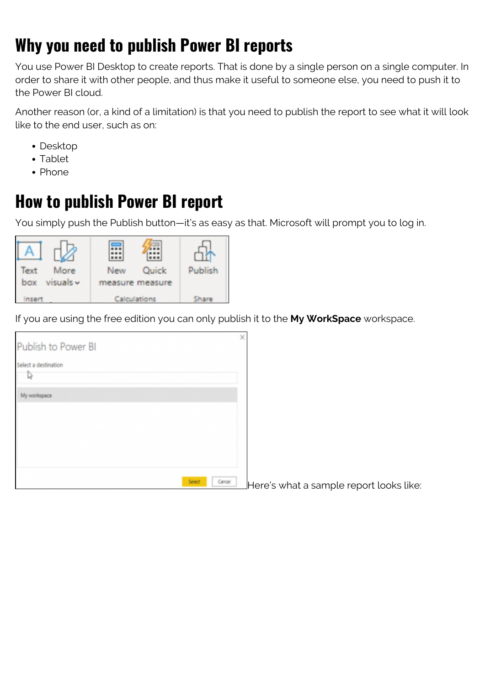## **Why you need to publish Power BI reports**

You use Power BI Desktop to create reports. That is done by a single person on a single computer. In order to share it with other people, and thus make it useful to someone else, you need to push it to the Power BI cloud.

Another reason (or, a kind of a limitation) is that you need to publish the report to see what it will look like to the end user, such as on:

- Desktop
- Tablet
- Phone

### **How to publish Power BI report**

You simply push the Publish button—it's as easy as that. Microsoft will prompt you to log in.



If you are using the free edition you can only publish it to the **My WorkSpace** workspace.

| Publish to Power BI       | b                |
|---------------------------|------------------|
| Select a destination<br>D |                  |
| My workspace              |                  |
|                           |                  |
|                           |                  |
|                           |                  |
|                           |                  |
|                           | Select<br>Cancel |

Here's what a sample report looks like: